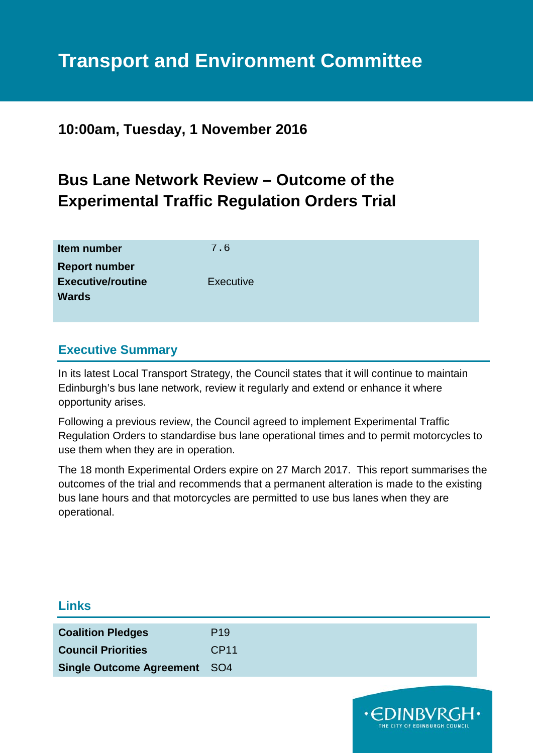# **Transport and Environment Committee**

**10:00am, Tuesday, 1 November 2016**

## **Bus Lane Network Review – Outcome of the Experimental Traffic Regulation Orders Trial**

| Item number                                      | 7.6              |
|--------------------------------------------------|------------------|
| <b>Report number</b><br><b>Executive/routine</b> | <b>Executive</b> |
| <b>Wards</b>                                     |                  |
|                                                  |                  |

## **Executive Summary**

**Links**

In its latest Local Transport Strategy, the Council states that it will continue to maintain Edinburgh's bus lane network, review it regularly and extend or enhance it where opportunity arises.

Following a previous review, the Council agreed to implement Experimental Traffic Regulation Orders to standardise bus lane operational times and to permit motorcycles to use them when they are in operation.

The 18 month Experimental Orders expire on 27 March 2017. This report summarises the outcomes of the trial and recommends that a permanent alteration is made to the existing bus lane hours and that motorcycles are permitted to use bus lanes when they are operational.

| <b>Coalition Pledges</b>            | P <sub>19</sub>  |  |  |
|-------------------------------------|------------------|--|--|
| <b>Council Priorities</b>           | CP <sub>11</sub> |  |  |
| <b>Single Outcome Agreement SO4</b> |                  |  |  |
|                                     |                  |  |  |

**.CDINBVRGH.**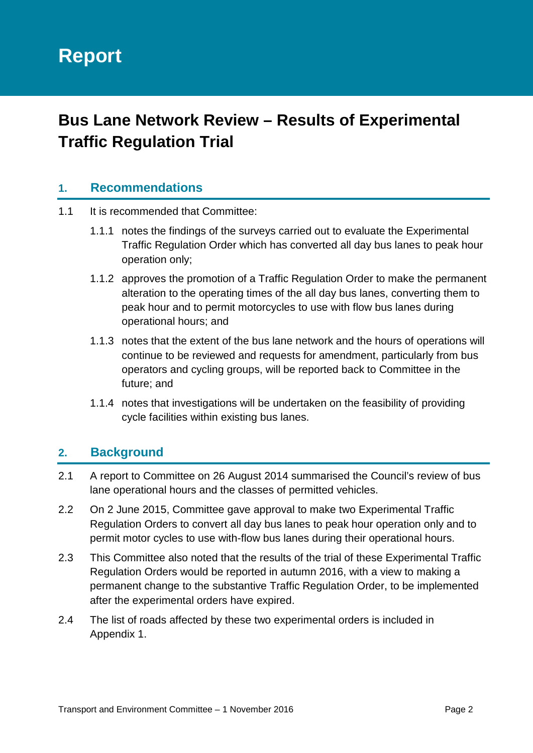# **Report**

## **Bus Lane Network Review – Results of Experimental Traffic Regulation Trial**

## **1. Recommendations**

- 1.1 It is recommended that Committee:
	- 1.1.1 notes the findings of the surveys carried out to evaluate the Experimental Traffic Regulation Order which has converted all day bus lanes to peak hour operation only;
	- 1.1.2 approves the promotion of a Traffic Regulation Order to make the permanent alteration to the operating times of the all day bus lanes, converting them to peak hour and to permit motorcycles to use with flow bus lanes during operational hours; and
	- 1.1.3 notes that the extent of the bus lane network and the hours of operations will continue to be reviewed and requests for amendment, particularly from bus operators and cycling groups, will be reported back to Committee in the future; and
	- 1.1.4 notes that investigations will be undertaken on the feasibility of providing cycle facilities within existing bus lanes.

## **2. Background**

- 2.1 A report to Committee on 26 August 2014 summarised the Council's review of bus lane operational hours and the classes of permitted vehicles.
- 2.2 On 2 June 2015, Committee gave approval to make two Experimental Traffic Regulation Orders to convert all day bus lanes to peak hour operation only and to permit motor cycles to use with-flow bus lanes during their operational hours.
- 2.3 This Committee also noted that the results of the trial of these Experimental Traffic Regulation Orders would be reported in autumn 2016, with a view to making a permanent change to the substantive Traffic Regulation Order, to be implemented after the experimental orders have expired.
- 2.4 The list of roads affected by these two experimental orders is included in Appendix 1.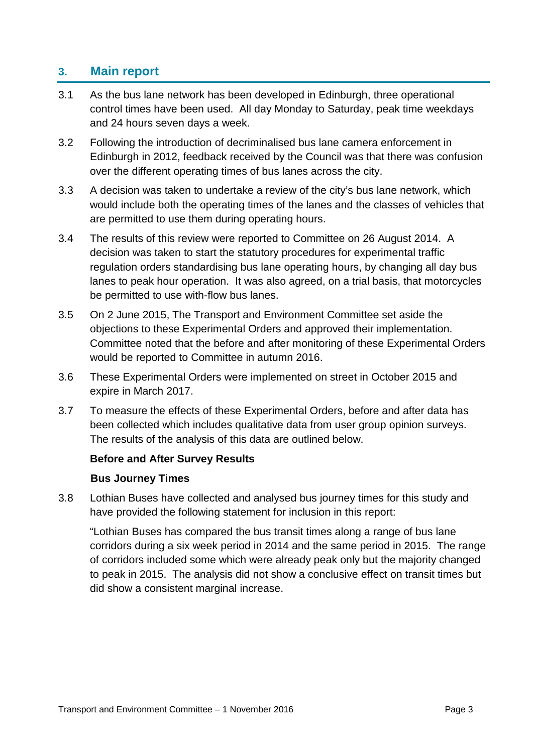## **3. Main report**

- 3.1 As the bus lane network has been developed in Edinburgh, three operational control times have been used. All day Monday to Saturday, peak time weekdays and 24 hours seven days a week.
- 3.2 Following the introduction of decriminalised bus lane camera enforcement in Edinburgh in 2012, feedback received by the Council was that there was confusion over the different operating times of bus lanes across the city.
- 3.3 A decision was taken to undertake a review of the city's bus lane network, which would include both the operating times of the lanes and the classes of vehicles that are permitted to use them during operating hours.
- 3.4 The results of this review were reported to Committee on 26 August 2014. A decision was taken to start the statutory procedures for experimental traffic regulation orders standardising bus lane operating hours, by changing all day bus lanes to peak hour operation. It was also agreed, on a trial basis, that motorcycles be permitted to use with-flow bus lanes.
- 3.5 On 2 June 2015, The Transport and Environment Committee set aside the objections to these Experimental Orders and approved their implementation. Committee noted that the before and after monitoring of these Experimental Orders would be reported to Committee in autumn 2016.
- 3.6 These Experimental Orders were implemented on street in October 2015 and expire in March 2017.
- 3.7 To measure the effects of these Experimental Orders, before and after data has been collected which includes qualitative data from user group opinion surveys. The results of the analysis of this data are outlined below.

## **Before and After Survey Results**

## **Bus Journey Times**

3.8 Lothian Buses have collected and analysed bus journey times for this study and have provided the following statement for inclusion in this report:

"Lothian Buses has compared the bus transit times along a range of bus lane corridors during a six week period in 2014 and the same period in 2015. The range of corridors included some which were already peak only but the majority changed to peak in 2015. The analysis did not show a conclusive effect on transit times but did show a consistent marginal increase.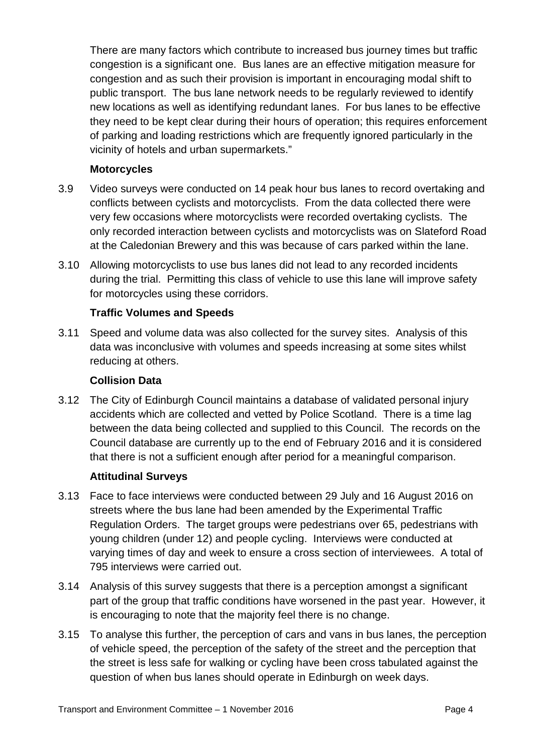There are many factors which contribute to increased bus journey times but traffic congestion is a significant one. Bus lanes are an effective mitigation measure for congestion and as such their provision is important in encouraging modal shift to public transport. The bus lane network needs to be regularly reviewed to identify new locations as well as identifying redundant lanes. For bus lanes to be effective they need to be kept clear during their hours of operation; this requires enforcement of parking and loading restrictions which are frequently ignored particularly in the vicinity of hotels and urban supermarkets."

#### **Motorcycles**

- 3.9 Video surveys were conducted on 14 peak hour bus lanes to record overtaking and conflicts between cyclists and motorcyclists. From the data collected there were very few occasions where motorcyclists were recorded overtaking cyclists. The only recorded interaction between cyclists and motorcyclists was on Slateford Road at the Caledonian Brewery and this was because of cars parked within the lane.
- 3.10 Allowing motorcyclists to use bus lanes did not lead to any recorded incidents during the trial. Permitting this class of vehicle to use this lane will improve safety for motorcycles using these corridors.

## **Traffic Volumes and Speeds**

3.11 Speed and volume data was also collected for the survey sites. Analysis of this data was inconclusive with volumes and speeds increasing at some sites whilst reducing at others.

#### **Collision Data**

3.12 The City of Edinburgh Council maintains a database of validated personal injury accidents which are collected and vetted by Police Scotland. There is a time lag between the data being collected and supplied to this Council. The records on the Council database are currently up to the end of February 2016 and it is considered that there is not a sufficient enough after period for a meaningful comparison.

## **Attitudinal Surveys**

- 3.13 Face to face interviews were conducted between 29 July and 16 August 2016 on streets where the bus lane had been amended by the Experimental Traffic Regulation Orders. The target groups were pedestrians over 65, pedestrians with young children (under 12) and people cycling. Interviews were conducted at varying times of day and week to ensure a cross section of interviewees. A total of 795 interviews were carried out.
- 3.14 Analysis of this survey suggests that there is a perception amongst a significant part of the group that traffic conditions have worsened in the past year. However, it is encouraging to note that the majority feel there is no change.
- 3.15 To analyse this further, the perception of cars and vans in bus lanes, the perception of vehicle speed, the perception of the safety of the street and the perception that the street is less safe for walking or cycling have been cross tabulated against the question of when bus lanes should operate in Edinburgh on week days.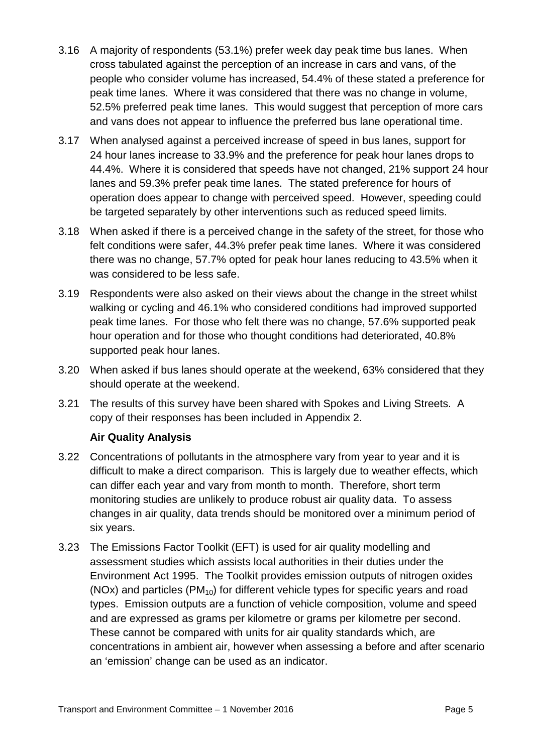- 3.16 A majority of respondents (53.1%) prefer week day peak time bus lanes. When cross tabulated against the perception of an increase in cars and vans, of the people who consider volume has increased, 54.4% of these stated a preference for peak time lanes. Where it was considered that there was no change in volume, 52.5% preferred peak time lanes. This would suggest that perception of more cars and vans does not appear to influence the preferred bus lane operational time.
- 3.17 When analysed against a perceived increase of speed in bus lanes, support for 24 hour lanes increase to 33.9% and the preference for peak hour lanes drops to 44.4%. Where it is considered that speeds have not changed, 21% support 24 hour lanes and 59.3% prefer peak time lanes. The stated preference for hours of operation does appear to change with perceived speed. However, speeding could be targeted separately by other interventions such as reduced speed limits.
- 3.18 When asked if there is a perceived change in the safety of the street, for those who felt conditions were safer, 44.3% prefer peak time lanes. Where it was considered there was no change, 57.7% opted for peak hour lanes reducing to 43.5% when it was considered to be less safe.
- 3.19 Respondents were also asked on their views about the change in the street whilst walking or cycling and 46.1% who considered conditions had improved supported peak time lanes. For those who felt there was no change, 57.6% supported peak hour operation and for those who thought conditions had deteriorated, 40.8% supported peak hour lanes.
- 3.20 When asked if bus lanes should operate at the weekend, 63% considered that they should operate at the weekend.
- 3.21 The results of this survey have been shared with Spokes and Living Streets. A copy of their responses has been included in Appendix 2.

## **Air Quality Analysis**

- 3.22 Concentrations of pollutants in the atmosphere vary from year to year and it is difficult to make a direct comparison. This is largely due to weather effects, which can differ each year and vary from month to month. Therefore, short term monitoring studies are unlikely to produce robust air quality data. To assess changes in air quality, data trends should be monitored over a minimum period of six years.
- 3.23 The Emissions Factor Toolkit (EFT) is used for air quality modelling and assessment studies which assists local authorities in their duties under the Environment Act 1995. The Toolkit provides emission outputs of nitrogen oxides (NOx) and particles  $(PM_{10})$  for different vehicle types for specific years and road types. Emission outputs are a function of vehicle composition, volume and speed and are expressed as grams per kilometre or grams per kilometre per second. These cannot be compared with units for air quality standards which, are concentrations in ambient air, however when assessing a before and after scenario an 'emission' change can be used as an indicator.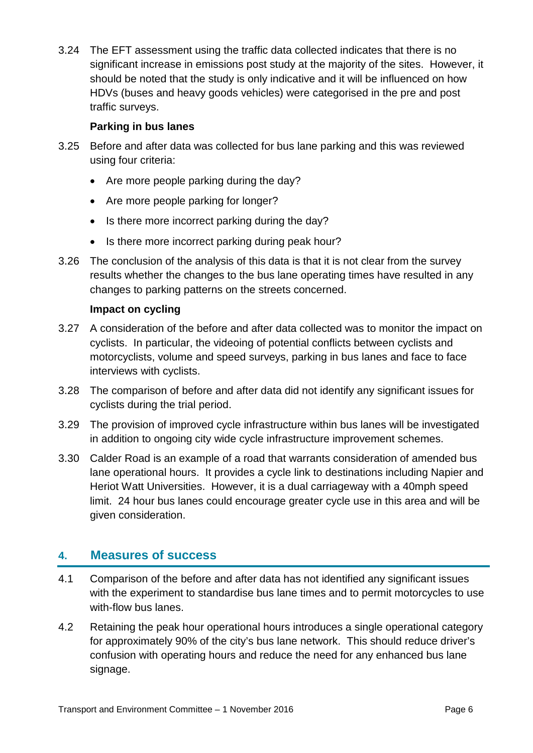3.24 The EFT assessment using the traffic data collected indicates that there is no significant increase in emissions post study at the majority of the sites. However, it should be noted that the study is only indicative and it will be influenced on how HDVs (buses and heavy goods vehicles) were categorised in the pre and post traffic surveys.

## **Parking in bus lanes**

- 3.25 Before and after data was collected for bus lane parking and this was reviewed using four criteria:
	- Are more people parking during the day?
	- Are more people parking for longer?
	- Is there more incorrect parking during the day?
	- Is there more incorrect parking during peak hour?
- 3.26 The conclusion of the analysis of this data is that it is not clear from the survey results whether the changes to the bus lane operating times have resulted in any changes to parking patterns on the streets concerned.

## **Impact on cycling**

- 3.27 A consideration of the before and after data collected was to monitor the impact on cyclists. In particular, the videoing of potential conflicts between cyclists and motorcyclists, volume and speed surveys, parking in bus lanes and face to face interviews with cyclists.
- 3.28 The comparison of before and after data did not identify any significant issues for cyclists during the trial period.
- 3.29 The provision of improved cycle infrastructure within bus lanes will be investigated in addition to ongoing city wide cycle infrastructure improvement schemes.
- 3.30 Calder Road is an example of a road that warrants consideration of amended bus lane operational hours. It provides a cycle link to destinations including Napier and Heriot Watt Universities. However, it is a dual carriageway with a 40mph speed limit. 24 hour bus lanes could encourage greater cycle use in this area and will be given consideration.

## **4. Measures of success**

- 4.1 Comparison of the before and after data has not identified any significant issues with the experiment to standardise bus lane times and to permit motorcycles to use with-flow bus lanes.
- 4.2 Retaining the peak hour operational hours introduces a single operational category for approximately 90% of the city's bus lane network. This should reduce driver's confusion with operating hours and reduce the need for any enhanced bus lane signage.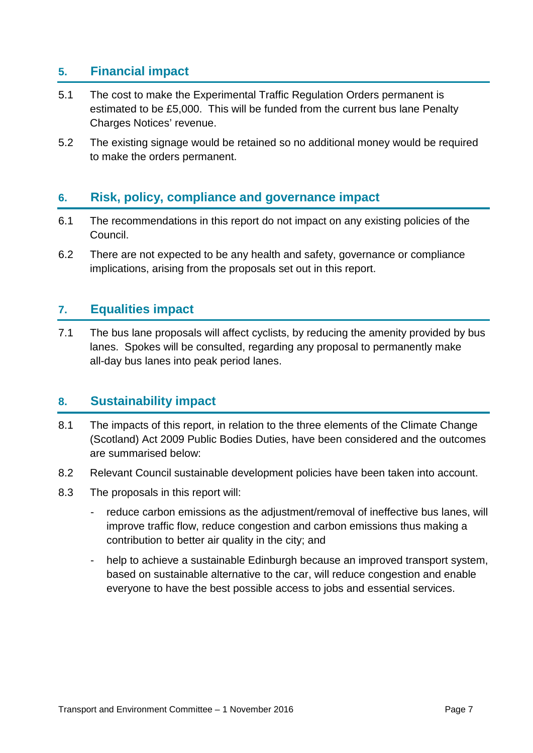## **5. Financial impact**

- 5.1 The cost to make the Experimental Traffic Regulation Orders permanent is estimated to be £5,000. This will be funded from the current bus lane Penalty Charges Notices' revenue.
- 5.2 The existing signage would be retained so no additional money would be required to make the orders permanent.

## **6. Risk, policy, compliance and governance impact**

- 6.1 The recommendations in this report do not impact on any existing policies of the Council.
- 6.2 There are not expected to be any health and safety, governance or compliance implications, arising from the proposals set out in this report.

## **7. Equalities impact**

7.1 The bus lane proposals will affect cyclists, by reducing the amenity provided by bus lanes. Spokes will be consulted, regarding any proposal to permanently make all-day bus lanes into peak period lanes.

## **8. Sustainability impact**

- 8.1 The impacts of this report, in relation to the three elements of the Climate Change (Scotland) Act 2009 Public Bodies Duties, have been considered and the outcomes are summarised below:
- 8.2 Relevant Council sustainable development policies have been taken into account.
- 8.3 The proposals in this report will:
	- reduce carbon emissions as the adjustment/removal of ineffective bus lanes, will improve traffic flow, reduce congestion and carbon emissions thus making a contribution to better air quality in the city; and
	- help to achieve a sustainable Edinburgh because an improved transport system, based on sustainable alternative to the car, will reduce congestion and enable everyone to have the best possible access to jobs and essential services.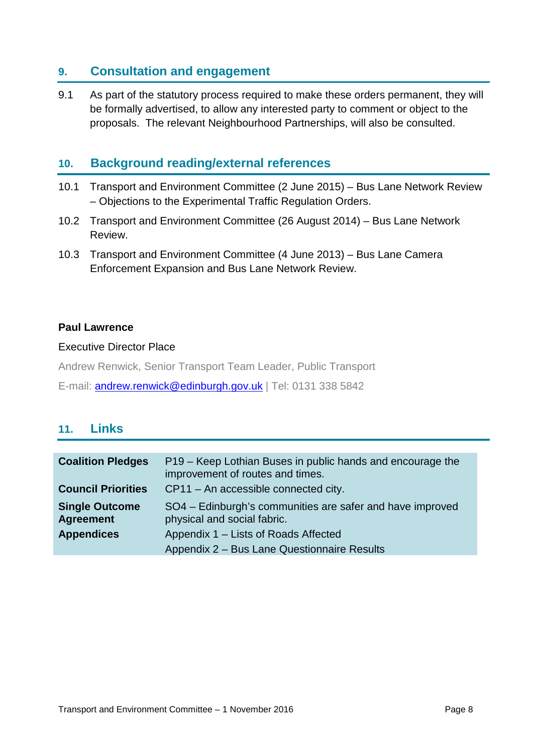## **9. Consultation and engagement**

9.1 As part of the statutory process required to make these orders permanent, they will be formally advertised, to allow any interested party to comment or object to the proposals. The relevant Neighbourhood Partnerships, will also be consulted.

## **10. Background reading/external references**

- 10.1 Transport and Environment Committee (2 June 2015) Bus Lane Network Review – Objections to the Experimental Traffic Regulation Orders.
- 10.2 Transport and Environment Committee (26 August 2014) Bus Lane Network Review.
- 10.3 Transport and Environment Committee (4 June 2013) Bus Lane Camera Enforcement Expansion and Bus Lane Network Review.

#### **Paul Lawrence**

#### Executive Director Place

Andrew Renwick, Senior Transport Team Leader, Public Transport

E-mail: [andrew.renwick@edinburgh.gov.uk](mailto:andrew.renwick@edinburgh.gov.uk) | Tel: 0131 338 5842

## **11. Links**

| <b>Coalition Pledges</b>                  | P19 – Keep Lothian Buses in public hands and encourage the<br>improvement of routes and times. |
|-------------------------------------------|------------------------------------------------------------------------------------------------|
| <b>Council Priorities</b>                 | CP11 - An accessible connected city.                                                           |
| <b>Single Outcome</b><br><b>Agreement</b> | SO4 - Edinburgh's communities are safer and have improved<br>physical and social fabric.       |
| <b>Appendices</b>                         | Appendix 1 – Lists of Roads Affected                                                           |
|                                           | Appendix 2 - Bus Lane Questionnaire Results                                                    |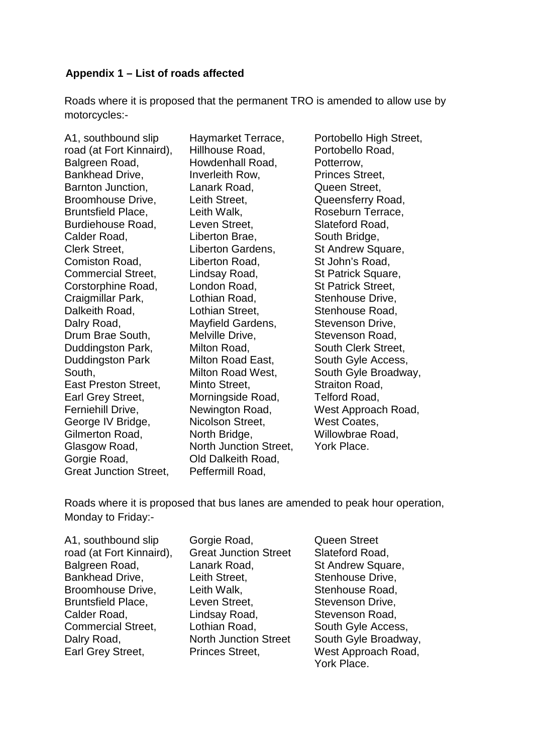#### **Appendix 1 – List of roads affected**

Roads where it is proposed that the permanent TRO is amended to allow use by motorcycles:-

| A1, southbound slip           | Haymarket Terrace,           |
|-------------------------------|------------------------------|
| road (at Fort Kinnaird),      | Hillhouse Road,              |
| Balgreen Road,                | Howdenhall Road,             |
| Bankhead Drive,               | Inverleith Row,              |
| Barnton Junction,             | Lanark Road,                 |
| Broomhouse Drive,             | Leith Street,                |
| Bruntsfield Place,            | Leith Walk,                  |
| Burdiehouse Road,             | Leven Street,                |
| Calder Road,                  | Liberton Brae,               |
| Clerk Street,                 | Liberton Gardens,            |
| Comiston Road,                | Liberton Road,               |
| Commercial Street,            | Lindsay Road,                |
| Corstorphine Road,            | London Road,                 |
| Craigmillar Park,             | Lothian Road,                |
| Dalkeith Road,                | Lothian Street,              |
| Dalry Road,                   | Mayfield Gardens,            |
| Drum Brae South,              | Melville Drive,              |
| Duddingston Park,             | Milton Road,                 |
| <b>Duddingston Park</b>       | Milton Road East,            |
| South,                        | Milton Road West,            |
| East Preston Street,          | Minto Street,                |
| Earl Grey Street,             | Morningside Road,            |
| Ferniehill Drive,             | Newington Road,              |
| George IV Bridge,             | Nicolson Street,             |
| Gilmerton Road,               | North Bridge,                |
| Glasgow Road,                 | <b>North Junction Street</b> |
| Gorgie Road,                  | Old Dalkeith Road,           |
| <b>Great Junction Street,</b> | Peffermill Road,             |

use Road. enhall Road. eith Row, k Road, Street. Walk. Street. on Brae. on Gardens, on Road, av Road, <sub>n</sub> Road, ın Road. **n** Street. eld Gardens, le Drive, Road, Road East, Road West, Street. ngside Road, ngton Road, on Street. Bridge, Junction Street. alkeith Road, mill Road,

Portobello High Street, Portobello Road, Potterrow, Princes Street, Queen Street, Queensferry Road, Roseburn Terrace, Slateford Road, South Bridge, St Andrew Square, St John's Road, St Patrick Square, St Patrick Street, Stenhouse Drive, Stenhouse Road, Stevenson Drive, Stevenson Road, South Clerk Street, South Gyle Access, South Gyle Broadway, Straiton Road, Telford Road, West Approach Road, West Coates, Willowbrae Road, York Place.

Roads where it is proposed that bus lanes are amended to peak hour operation, Monday to Friday:-

| A1, southbound slip       | Gor  |
|---------------------------|------|
| road (at Fort Kinnaird),  | Gre  |
| Balgreen Road,            | Lan  |
| Bankhead Drive,           | Leit |
| Broomhouse Drive,         | Leit |
| <b>Bruntsfield Place,</b> | Lev  |
| Calder Road,              | Lino |
| <b>Commercial Street,</b> | Lotl |
| Dalry Road,               | Nor  |
| Earl Grey Street,         | Prir |
|                           |      |

gie Road, at Junction Street ark Road, h Street. th Walk. en Street. dsav Road. hian Road, th Junction Street nces Street.

Queen Street Slateford Road, St Andrew Square, Stenhouse Drive, Stenhouse Road, Stevenson Drive, Stevenson Road, South Gyle Access, South Gyle Broadway, West Approach Road, York Place.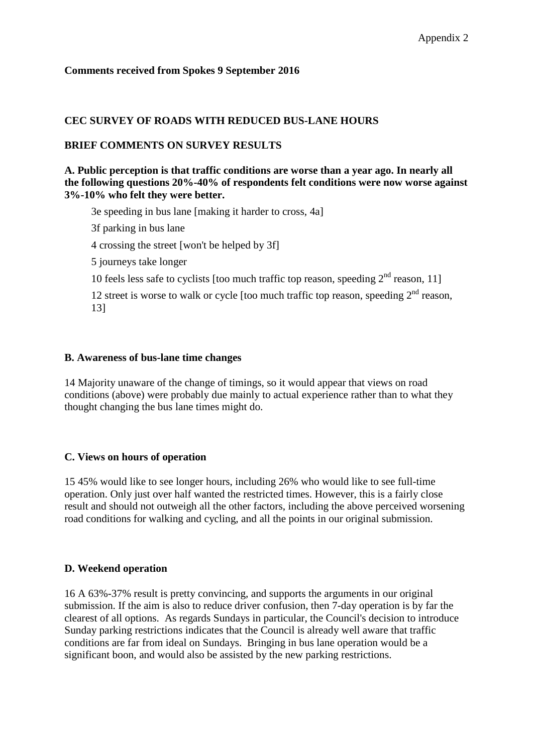#### **Comments received from Spokes 9 September 2016**

#### **CEC SURVEY OF ROADS WITH REDUCED BUS-LANE HOURS**

#### **BRIEF COMMENTS ON SURVEY RESULTS**

**A. Public perception is that traffic conditions are worse than a year ago. In nearly all the following questions 20%-40% of respondents felt conditions were now worse against 3%-10% who felt they were better.**

3e speeding in bus lane [making it harder to cross, 4a]

3f parking in bus lane

4 crossing the street [won't be helped by 3f]

5 journeys take longer

10 feels less safe to cyclists [too much traffic top reason, speeding  $2<sup>nd</sup>$  reason, 11]

12 street is worse to walk or cycle [too much traffic top reason, speeding  $2<sup>nd</sup>$  reason, 13]

#### **B. Awareness of bus-lane time changes**

14 Majority unaware of the change of timings, so it would appear that views on road conditions (above) were probably due mainly to actual experience rather than to what they thought changing the bus lane times might do.

#### **C. Views on hours of operation**

15 45% would like to see longer hours, including 26% who would like to see full-time operation. Only just over half wanted the restricted times. However, this is a fairly close result and should not outweigh all the other factors, including the above perceived worsening road conditions for walking and cycling, and all the points in our original submission.

#### **D. Weekend operation**

16 A 63%-37% result is pretty convincing, and supports the arguments in our original submission. If the aim is also to reduce driver confusion, then 7-day operation is by far the clearest of all options. As regards Sundays in particular, the Council's decision to introduce Sunday parking restrictions indicates that the Council is already well aware that traffic conditions are far from ideal on Sundays. Bringing in bus lane operation would be a significant boon, and would also be assisted by the new parking restrictions.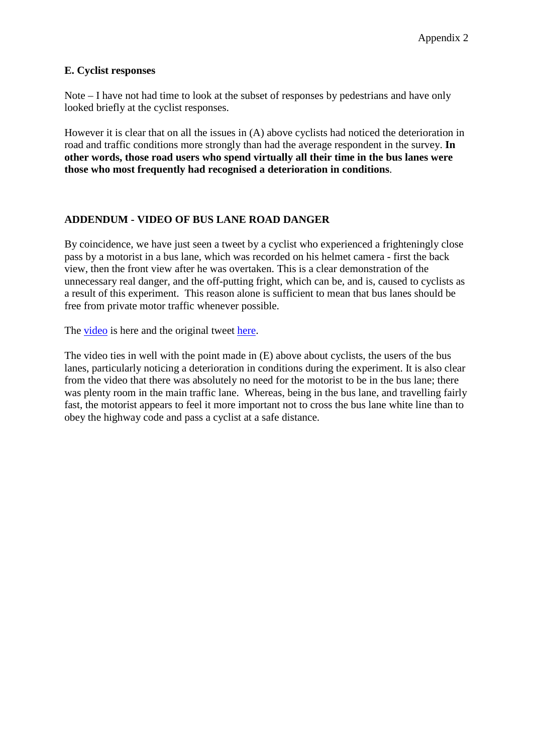#### **E. Cyclist responses**

Note – I have not had time to look at the subset of responses by pedestrians and have only looked briefly at the cyclist responses.

However it is clear that on all the issues in (A) above cyclists had noticed the deterioration in road and traffic conditions more strongly than had the average respondent in the survey. **In other words, those road users who spend virtually all their time in the bus lanes were those who most frequently had recognised a deterioration in conditions**.

#### **ADDENDUM - VIDEO OF BUS LANE ROAD DANGER**

By coincidence, we have just seen a tweet by a cyclist who experienced a frighteningly close pass by a motorist in a bus lane, which was recorded on his helmet camera - first the back view, then the front view after he was overtaken. This is a clear demonstration of the unnecessary real danger, and the off-putting fright, which can be, and is, caused to cyclists as a result of this experiment. This reason alone is sufficient to mean that bus lanes should be free from private motor traffic whenever possible.

The [video](https://youtu.be/TshXNHSsnU8) is here and the original tweet [here.](https://twitter.com/mike3legs/status/774263760940851201)

The video ties in well with the point made in (E) above about cyclists, the users of the bus lanes, particularly noticing a deterioration in conditions during the experiment. It is also clear from the video that there was absolutely no need for the motorist to be in the bus lane; there was plenty room in the main traffic lane. Whereas, being in the bus lane, and travelling fairly fast, the motorist appears to feel it more important not to cross the bus lane white line than to obey the highway code and pass a cyclist at a safe distance.